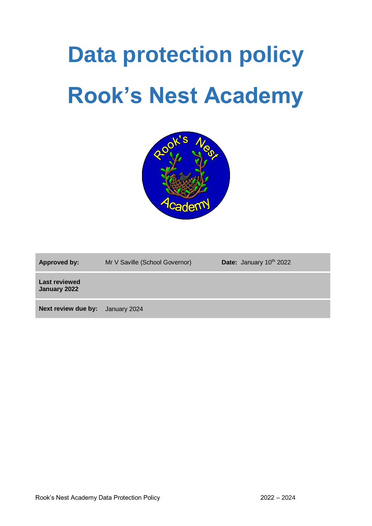# **Data protection policy Rook's Nest Academy**



Approved by: Mr V Saville (School Governor) **Date:** January 10<sup>th</sup> 2022

**Last reviewed January 2022** 

**Next review due by:** January 2024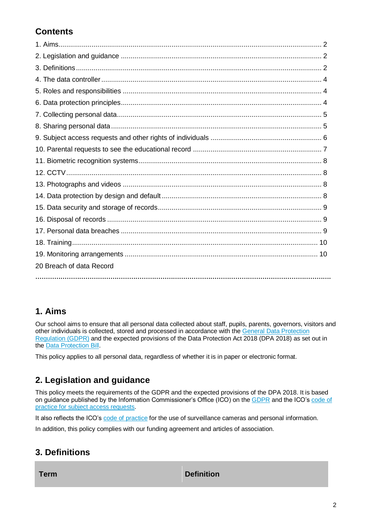# **Contents**

| 20 Breach of data Record |
|--------------------------|
|                          |

# **1. Aims**

Our school aims to ensure that all personal data collected about staff, pupils, parents, governors, visitors and other individuals is collected, stored and processed in accordance with the [General Data Protection](http://data.consilium.europa.eu/doc/document/ST-5419-2016-INIT/en/pdf)  [Regulation \(GDPR\)](http://data.consilium.europa.eu/doc/document/ST-5419-2016-INIT/en/pdf) and the expected provisions of the Data Protection Act 2018 (DPA 2018) as set out in the [Data Protection Bill.](https://publications.parliament.uk/pa/bills/cbill/2017-2019/0153/18153.pdf)

This policy applies to all personal data, regardless of whether it is in paper or electronic format.

# **2. Legislation and guidance**

This policy meets the requirements of the GDPR and the expected provisions of the DPA 2018. It is based on guidance published by the Information Commissioner's Office (ICO) on the [GDPR](https://ico.org.uk/for-organisations/guide-to-the-general-data-protection-regulation-gdpr/) and the ICO's [code of](https://ico.org.uk/media/for-organisations/documents/2014223/subject-access-code-of-practice.pdf)  [practice for subject access requests.](https://ico.org.uk/media/for-organisations/documents/2014223/subject-access-code-of-practice.pdf)

It also reflects the ICO's [code of practice](https://ico.org.uk/media/for-organisations/documents/1542/cctv-code-of-practice.pdf) for the use of surveillance cameras and personal information.

In addition, this policy complies with our funding agreement and articles of association.

# **3. Definitions**

**Term Definition**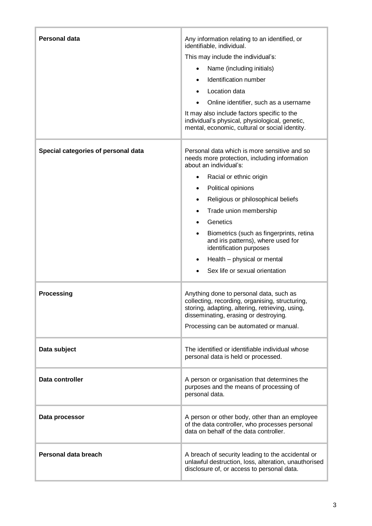| <b>Personal data</b>                | Any information relating to an identified, or<br>identifiable, individual.<br>This may include the individual's:<br>Name (including initials)<br>$\bullet$<br>Identification number<br>$\bullet$<br>Location data<br>$\bullet$<br>Online identifier, such as a username<br>It may also include factors specific to the<br>individual's physical, physiological, genetic,<br>mental, economic, cultural or social identity.                                                                                                   |  |  |
|-------------------------------------|------------------------------------------------------------------------------------------------------------------------------------------------------------------------------------------------------------------------------------------------------------------------------------------------------------------------------------------------------------------------------------------------------------------------------------------------------------------------------------------------------------------------------|--|--|
| Special categories of personal data | Personal data which is more sensitive and so<br>needs more protection, including information<br>about an individual's:<br>Racial or ethnic origin<br>$\bullet$<br>Political opinions<br>$\bullet$<br>Religious or philosophical beliefs<br>$\bullet$<br>Trade union membership<br>$\bullet$<br>Genetics<br>$\bullet$<br>Biometrics (such as fingerprints, retina<br>$\bullet$<br>and iris patterns), where used for<br>identification purposes<br>Health - physical or mental<br>$\bullet$<br>Sex life or sexual orientation |  |  |
| <b>Processing</b>                   | Anything done to personal data, such as<br>collecting, recording, organising, structuring,<br>storing, adapting, altering, retrieving, using,<br>disseminating, erasing or destroying.<br>Processing can be automated or manual.                                                                                                                                                                                                                                                                                             |  |  |
| Data subject                        | The identified or identifiable individual whose<br>personal data is held or processed.                                                                                                                                                                                                                                                                                                                                                                                                                                       |  |  |
| Data controller                     | A person or organisation that determines the<br>purposes and the means of processing of<br>personal data.                                                                                                                                                                                                                                                                                                                                                                                                                    |  |  |
| Data processor                      | A person or other body, other than an employee<br>of the data controller, who processes personal<br>data on behalf of the data controller.                                                                                                                                                                                                                                                                                                                                                                                   |  |  |
| Personal data breach                | A breach of security leading to the accidental or<br>unlawful destruction, loss, alteration, unauthorised<br>disclosure of, or access to personal data.                                                                                                                                                                                                                                                                                                                                                                      |  |  |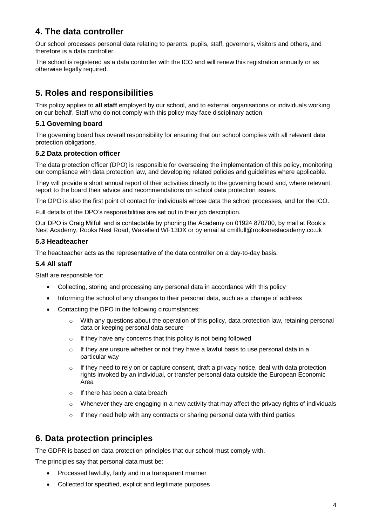# **4. The data controller**

Our school processes personal data relating to parents, pupils, staff, governors, visitors and others, and therefore is a data controller.

The school is registered as a data controller with the ICO and will renew this registration annually or as otherwise legally required.

# **5. Roles and responsibilities**

This policy applies to **all staff** employed by our school, and to external organisations or individuals working on our behalf. Staff who do not comply with this policy may face disciplinary action.

#### **5.1 Governing board**

The governing board has overall responsibility for ensuring that our school complies with all relevant data protection obligations.

#### **5.2 Data protection officer**

The data protection officer (DPO) is responsible for overseeing the implementation of this policy, monitoring our compliance with data protection law, and developing related policies and guidelines where applicable.

They will provide a short annual report of their activities directly to the governing board and, where relevant, report to the board their advice and recommendations on school data protection issues.

The DPO is also the first point of contact for individuals whose data the school processes, and for the ICO.

Full details of the DPO's responsibilities are set out in their job description.

Our DPO is Craig Milfull and is contactable by phoning the Academy on 01924 870700, by mail at Rook's Nest Academy, Rooks Nest Road, Wakefield WF13DX or by email at cmilfull@rooksnestacademy.co.uk

#### **5.3 Headteacher**

The headteacher acts as the representative of the data controller on a day-to-day basis.

#### **5.4 All staff**

Staff are responsible for:

- Collecting, storing and processing any personal data in accordance with this policy
- Informing the school of any changes to their personal data, such as a change of address
- Contacting the DPO in the following circumstances:
	- With any questions about the operation of this policy, data protection law, retaining personal data or keeping personal data secure
	- o If they have any concerns that this policy is not being followed
	- $\circ$  If they are unsure whether or not they have a lawful basis to use personal data in a particular way
	- $\circ$  If they need to rely on or capture consent, draft a privacy notice, deal with data protection rights invoked by an individual, or transfer personal data outside the European Economic Area
	- $\circ$  If there has been a data breach
	- $\circ$  Whenever they are engaging in a new activity that may affect the privacy rights of individuals
	- $\circ$  If they need help with any contracts or sharing personal data with third parties

# **6. Data protection principles**

The GDPR is based on data protection principles that our school must comply with.

The principles say that personal data must be:

- Processed lawfully, fairly and in a transparent manner
- Collected for specified, explicit and legitimate purposes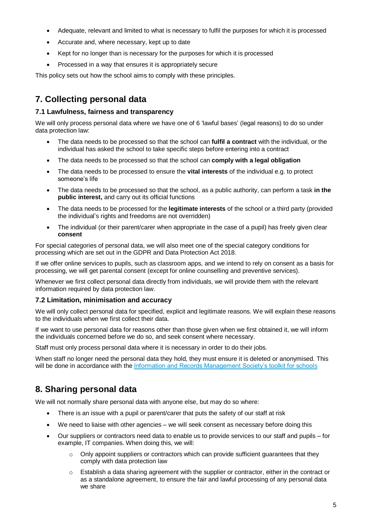- Adequate, relevant and limited to what is necessary to fulfil the purposes for which it is processed
- Accurate and, where necessary, kept up to date
- Kept for no longer than is necessary for the purposes for which it is processed
- Processed in a way that ensures it is appropriately secure

This policy sets out how the school aims to comply with these principles.

# **7. Collecting personal data**

#### **7.1 Lawfulness, fairness and transparency**

We will only process personal data where we have one of 6 'lawful bases' (legal reasons) to do so under data protection law:

- The data needs to be processed so that the school can **fulfil a contract** with the individual, or the individual has asked the school to take specific steps before entering into a contract
- The data needs to be processed so that the school can **comply with a legal obligation**
- The data needs to be processed to ensure the **vital interests** of the individual e.g. to protect someone's life
- The data needs to be processed so that the school, as a public authority, can perform a task **in the public interest,** and carry out its official functions
- The data needs to be processed for the **legitimate interests** of the school or a third party (provided the individual's rights and freedoms are not overridden)
- The individual (or their parent/carer when appropriate in the case of a pupil) has freely given clear **consent**

For special categories of personal data, we will also meet one of the special category conditions for processing which are set out in the GDPR and Data Protection Act 2018.

If we offer online services to pupils, such as classroom apps, and we intend to rely on consent as a basis for processing, we will get parental consent (except for online counselling and preventive services).

Whenever we first collect personal data directly from individuals, we will provide them with the relevant information required by data protection law.

#### **7.2 Limitation, minimisation and accuracy**

We will only collect personal data for specified, explicit and legitimate reasons. We will explain these reasons to the individuals when we first collect their data.

If we want to use personal data for reasons other than those given when we first obtained it, we will inform the individuals concerned before we do so, and seek consent where necessary.

Staff must only process personal data where it is necessary in order to do their jobs.

When staff no longer need the personal data they hold, they must ensure it is deleted or anonymised. This will be done in accordance with the [Information and Records Management Society's toolkit for schools](http://irms.org.uk/?page=schoolstoolkit&terms=%22toolkit+and+schools%22)

# **8. Sharing personal data**

We will not normally share personal data with anyone else, but may do so where:

- There is an issue with a pupil or parent/carer that puts the safety of our staff at risk
- We need to liaise with other agencies we will seek consent as necessary before doing this
- Our suppliers or contractors need data to enable us to provide services to our staff and pupils for example, IT companies. When doing this, we will:
	- $\circ$  Only appoint suppliers or contractors which can provide sufficient quarantees that they comply with data protection law
	- $\circ$  Establish a data sharing agreement with the supplier or contractor, either in the contract or as a standalone agreement, to ensure the fair and lawful processing of any personal data we share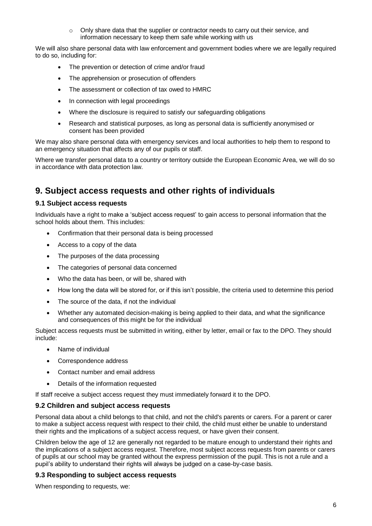$\circ$  Only share data that the supplier or contractor needs to carry out their service, and information necessary to keep them safe while working with us

We will also share personal data with law enforcement and government bodies where we are legally required to do so, including for:

- The prevention or detection of crime and/or fraud
- The apprehension or prosecution of offenders
- The assessment or collection of tax owed to HMRC
- In connection with legal proceedings
- Where the disclosure is required to satisfy our safeguarding obligations
- Research and statistical purposes, as long as personal data is sufficiently anonymised or consent has been provided

We may also share personal data with emergency services and local authorities to help them to respond to an emergency situation that affects any of our pupils or staff.

Where we transfer personal data to a country or territory outside the European Economic Area, we will do so in accordance with data protection law.

# **9. Subject access requests and other rights of individuals**

#### **9.1 Subject access requests**

Individuals have a right to make a 'subject access request' to gain access to personal information that the school holds about them. This includes:

- Confirmation that their personal data is being processed
- Access to a copy of the data
- The purposes of the data processing
- The categories of personal data concerned
- Who the data has been, or will be, shared with
- How long the data will be stored for, or if this isn't possible, the criteria used to determine this period
- The source of the data, if not the individual
- Whether any automated decision-making is being applied to their data, and what the significance and consequences of this might be for the individual

Subject access requests must be submitted in writing, either by letter, email or fax to the DPO. They should include:

- Name of individual
- Correspondence address
- Contact number and email address
- Details of the information requested

If staff receive a subject access request they must immediately forward it to the DPO.

#### **9.2 Children and subject access requests**

Personal data about a child belongs to that child, and not the child's parents or carers. For a parent or carer to make a subject access request with respect to their child, the child must either be unable to understand their rights and the implications of a subject access request, or have given their consent.

Children below the age of 12 are generally not regarded to be mature enough to understand their rights and the implications of a subject access request. Therefore, most subject access requests from parents or carers of pupils at our school may be granted without the express permission of the pupil. This is not a rule and a pupil's ability to understand their rights will always be judged on a case-by-case basis.

#### **9.3 Responding to subject access requests**

When responding to requests, we: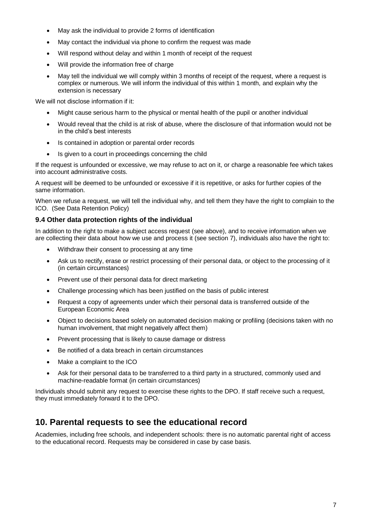- May ask the individual to provide 2 forms of identification
- May contact the individual via phone to confirm the request was made
- Will respond without delay and within 1 month of receipt of the request
- Will provide the information free of charge
- May tell the individual we will comply within 3 months of receipt of the request, where a request is complex or numerous. We will inform the individual of this within 1 month, and explain why the extension is necessary

We will not disclose information if it:

- Might cause serious harm to the physical or mental health of the pupil or another individual
- Would reveal that the child is at risk of abuse, where the disclosure of that information would not be in the child's best interests
- Is contained in adoption or parental order records
- Is given to a court in proceedings concerning the child

If the request is unfounded or excessive, we may refuse to act on it, or charge a reasonable fee which takes into account administrative costs.

A request will be deemed to be unfounded or excessive if it is repetitive, or asks for further copies of the same information.

When we refuse a request, we will tell the individual why, and tell them they have the right to complain to the ICO. (See Data Retention Policy)

#### **9.4 Other data protection rights of the individual**

In addition to the right to make a subject access request (see above), and to receive information when we are collecting their data about how we use and process it (see section 7), individuals also have the right to:

- Withdraw their consent to processing at any time
- Ask us to rectify, erase or restrict processing of their personal data, or object to the processing of it (in certain circumstances)
- Prevent use of their personal data for direct marketing
- Challenge processing which has been justified on the basis of public interest
- Request a copy of agreements under which their personal data is transferred outside of the European Economic Area
- Object to decisions based solely on automated decision making or profiling (decisions taken with no human involvement, that might negatively affect them)
- Prevent processing that is likely to cause damage or distress
- Be notified of a data breach in certain circumstances
- Make a complaint to the ICO
- Ask for their personal data to be transferred to a third party in a structured, commonly used and machine-readable format (in certain circumstances)

Individuals should submit any request to exercise these rights to the DPO. If staff receive such a request, they must immediately forward it to the DPO.

### **10. Parental requests to see the educational record**

Academies, including free schools, and independent schools: there is no automatic parental right of access to the educational record. Requests may be considered in case by case basis.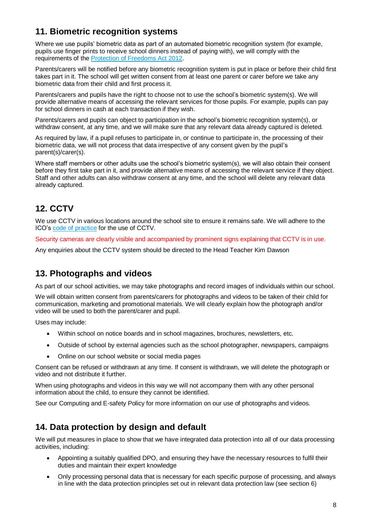# **11. Biometric recognition systems**

Where we use pupils' biometric data as part of an automated biometric recognition system (for example, pupils use finger prints to receive school dinners instead of paying with), we will comply with the requirements of th[e Protection of Freedoms Act 2012.](https://www.legislation.gov.uk/ukpga/2012/9/section/26)

Parents/carers will be notified before any biometric recognition system is put in place or before their child first takes part in it. The school will get written consent from at least one parent or carer before we take any biometric data from their child and first process it.

Parents/carers and pupils have the right to choose not to use the school's biometric system(s). We will provide alternative means of accessing the relevant services for those pupils. For example, pupils can pay for school dinners in cash at each transaction if they wish.

Parents/carers and pupils can object to participation in the school's biometric recognition system(s), or withdraw consent, at any time, and we will make sure that any relevant data already captured is deleted.

As required by law, if a pupil refuses to participate in, or continue to participate in, the processing of their biometric data, we will not process that data irrespective of any consent given by the pupil's parent(s)/carer(s).

Where staff members or other adults use the school's biometric system(s), we will also obtain their consent before they first take part in it, and provide alternative means of accessing the relevant service if they object. Staff and other adults can also withdraw consent at any time, and the school will delete any relevant data already captured.

# **12. CCTV**

We use CCTV in various locations around the school site to ensure it remains safe. We will adhere to the ICO's [code of practice](https://ico.org.uk/media/for-organisations/documents/1542/cctv-code-of-practice.pdf) for the use of CCTV.

Security cameras are clearly visible and accompanied by prominent signs explaining that CCTV is in use.

Any enquiries about the CCTV system should be directed to the Head Teacher Kim Dawson

# **13. Photographs and videos**

As part of our school activities, we may take photographs and record images of individuals within our school.

We will obtain written consent from parents/carers for photographs and videos to be taken of their child for communication, marketing and promotional materials. We will clearly explain how the photograph and/or video will be used to both the parent/carer and pupil.

Uses may include:

- Within school on notice boards and in school magazines, brochures, newsletters, etc.
- Outside of school by external agencies such as the school photographer, newspapers, campaigns
- Online on our school website or social media pages

Consent can be refused or withdrawn at any time. If consent is withdrawn, we will delete the photograph or video and not distribute it further.

When using photographs and videos in this way we will not accompany them with any other personal information about the child, to ensure they cannot be identified.

See our Computing and E-safety Policy for more information on our use of photographs and videos.

# **14. Data protection by design and default**

We will put measures in place to show that we have integrated data protection into all of our data processing activities, including:

- Appointing a suitably qualified DPO, and ensuring they have the necessary resources to fulfil their duties and maintain their expert knowledge
- Only processing personal data that is necessary for each specific purpose of processing, and always in line with the data protection principles set out in relevant data protection law (see section 6)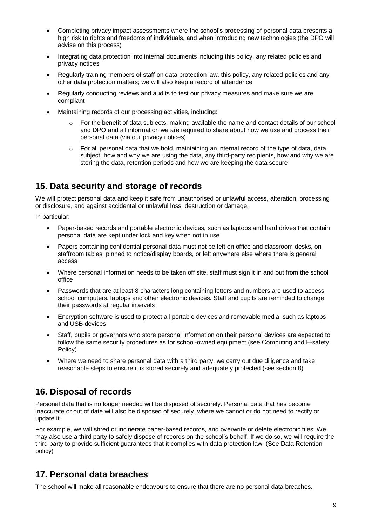- Completing privacy impact assessments where the school's processing of personal data presents a high risk to rights and freedoms of individuals, and when introducing new technologies (the DPO will advise on this process)
- Integrating data protection into internal documents including this policy, any related policies and privacy notices
- Regularly training members of staff on data protection law, this policy, any related policies and any other data protection matters; we will also keep a record of attendance
- Regularly conducting reviews and audits to test our privacy measures and make sure we are compliant
- Maintaining records of our processing activities, including:
	- For the benefit of data subjects, making available the name and contact details of our school and DPO and all information we are required to share about how we use and process their personal data (via our privacy notices)
	- $\circ$  For all personal data that we hold, maintaining an internal record of the type of data, data subject, how and why we are using the data, any third-party recipients, how and why we are storing the data, retention periods and how we are keeping the data secure

# **15. Data security and storage of records**

We will protect personal data and keep it safe from unauthorised or unlawful access, alteration, processing or disclosure, and against accidental or unlawful loss, destruction or damage.

In particular:

- Paper-based records and portable electronic devices, such as laptops and hard drives that contain personal data are kept under lock and key when not in use
- Papers containing confidential personal data must not be left on office and classroom desks, on staffroom tables, pinned to notice/display boards, or left anywhere else where there is general access
- Where personal information needs to be taken off site, staff must sign it in and out from the school office
- Passwords that are at least 8 characters long containing letters and numbers are used to access school computers, laptops and other electronic devices. Staff and pupils are reminded to change their passwords at regular intervals
- Encryption software is used to protect all portable devices and removable media, such as laptops and USB devices
- Staff, pupils or governors who store personal information on their personal devices are expected to follow the same security procedures as for school-owned equipment (see Computing and E-safety Policy)
- Where we need to share personal data with a third party, we carry out due diligence and take reasonable steps to ensure it is stored securely and adequately protected (see section 8)

# **16. Disposal of records**

Personal data that is no longer needed will be disposed of securely. Personal data that has become inaccurate or out of date will also be disposed of securely, where we cannot or do not need to rectify or update it.

For example, we will shred or incinerate paper-based records, and overwrite or delete electronic files. We may also use a third party to safely dispose of records on the school's behalf. If we do so, we will require the third party to provide sufficient guarantees that it complies with data protection law. (See Data Retention policy)

# **17. Personal data breaches**

The school will make all reasonable endeavours to ensure that there are no personal data breaches.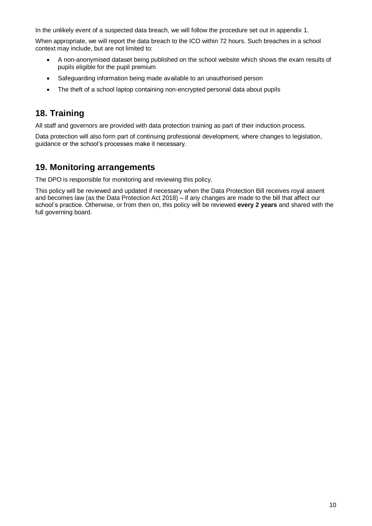In the unlikely event of a suspected data breach, we will follow the procedure set out in appendix 1.

When appropriate, we will report the data breach to the ICO within 72 hours. Such breaches in a school context may include, but are not limited to:

- A non-anonymised dataset being published on the school website which shows the exam results of pupils eligible for the pupil premium
- Safeguarding information being made available to an unauthorised person
- The theft of a school laptop containing non-encrypted personal data about pupils

# **18. Training**

All staff and governors are provided with data protection training as part of their induction process.

Data protection will also form part of continuing professional development, where changes to legislation, guidance or the school's processes make it necessary.

# **19. Monitoring arrangements**

The DPO is responsible for monitoring and reviewing this policy.

This policy will be reviewed and updated if necessary when the Data Protection Bill receives royal assent and becomes law (as the Data Protection Act 2018) – if any changes are made to the bill that affect our school's practice. Otherwise, or from then on, this policy will be reviewed **every 2 years** and shared with the full governing board.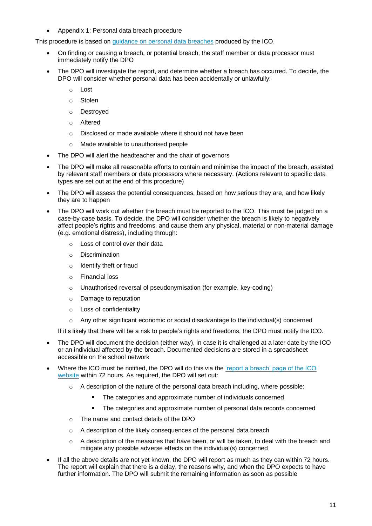• Appendix 1: Personal data breach procedure

This procedure is based on [guidance on personal data breaches](https://ico.org.uk/for-organisations/guide-to-the-general-data-protection-regulation-gdpr/personal-data-breaches/) produced by the ICO.

- On finding or causing a breach, or potential breach, the staff member or data processor must immediately notify the DPO
- The DPO will investigate the report, and determine whether a breach has occurred. To decide, the DPO will consider whether personal data has been accidentally or unlawfully:
	- o Lost
	- o Stolen
	- o Destroyed
	- o Altered
	- o Disclosed or made available where it should not have been
	- o Made available to unauthorised people
- The DPO will alert the headteacher and the chair of governors
- The DPO will make all reasonable efforts to contain and minimise the impact of the breach, assisted by relevant staff members or data processors where necessary. (Actions relevant to specific data types are set out at the end of this procedure)
- The DPO will assess the potential consequences, based on how serious they are, and how likely they are to happen
- The DPO will work out whether the breach must be reported to the ICO. This must be judged on a case-by-case basis. To decide, the DPO will consider whether the breach is likely to negatively affect people's rights and freedoms, and cause them any physical, material or non-material damage (e.g. emotional distress), including through:
	- o Loss of control over their data
	- o Discrimination
	- o Identify theft or fraud
	- o Financial loss
	- o Unauthorised reversal of pseudonymisation (for example, key-coding)
	- o Damage to reputation
	- o Loss of confidentiality
	- o Any other significant economic or social disadvantage to the individual(s) concerned

If it's likely that there will be a risk to people's rights and freedoms, the DPO must notify the ICO.

- The DPO will document the decision (either way), in case it is challenged at a later date by the ICO or an individual affected by the breach. Documented decisions are stored in a spreadsheet accessible on the school network
- Where the ICO must be notified, the DPO will do this via the ['report a breach' page of the ICO](https://ico.org.uk/for-organisations/report-a-breach/)  [website](https://ico.org.uk/for-organisations/report-a-breach/) within 72 hours. As required, the DPO will set out:
	- $\circ$  A description of the nature of the personal data breach including, where possible:
		- The categories and approximate number of individuals concerned
		- The categories and approximate number of personal data records concerned
	- o The name and contact details of the DPO
	- o A description of the likely consequences of the personal data breach
	- $\circ$  A description of the measures that have been, or will be taken, to deal with the breach and mitigate any possible adverse effects on the individual(s) concerned
- If all the above details are not yet known, the DPO will report as much as they can within 72 hours. The report will explain that there is a delay, the reasons why, and when the DPO expects to have further information. The DPO will submit the remaining information as soon as possible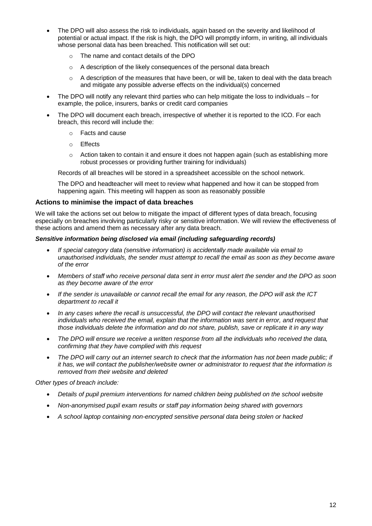- The DPO will also assess the risk to individuals, again based on the severity and likelihood of potential or actual impact. If the risk is high, the DPO will promptly inform, in writing, all individuals whose personal data has been breached. This notification will set out:
	- o The name and contact details of the DPO
	- o A description of the likely consequences of the personal data breach
	- o A description of the measures that have been, or will be, taken to deal with the data breach and mitigate any possible adverse effects on the individual(s) concerned
- The DPO will notify any relevant third parties who can help mitigate the loss to individuals for example, the police, insurers, banks or credit card companies
- The DPO will document each breach, irrespective of whether it is reported to the ICO. For each breach, this record will include the:
	- o Facts and cause
	- o Effects
	- $\circ$  Action taken to contain it and ensure it does not happen again (such as establishing more robust processes or providing further training for individuals)

Records of all breaches will be stored in a spreadsheet accessible on the school network.

The DPO and headteacher will meet to review what happened and how it can be stopped from happening again. This meeting will happen as soon as reasonably possible

#### **Actions to minimise the impact of data breaches**

We will take the actions set out below to mitigate the impact of different types of data breach, focusing especially on breaches involving particularly risky or sensitive information. We will review the effectiveness of these actions and amend them as necessary after any data breach.

#### *Sensitive information being disclosed via email (including safeguarding records)*

- *If special category data (sensitive information) is accidentally made available via email to unauthorised individuals, the sender must attempt to recall the email as soon as they become aware of the error*
- *Members of staff who receive personal data sent in error must alert the sender and the DPO as soon as they become aware of the error*
- *If the sender is unavailable or cannot recall the email for any reason, the DPO will ask the ICT department to recall it*
- In any cases where the recall is unsuccessful, the DPO will contact the relevant unauthorised *individuals who received the email, explain that the information was sent in error, and request that those individuals delete the information and do not share, publish, save or replicate it in any way*
- *The DPO will ensure we receive a written response from all the individuals who received the data, confirming that they have complied with this request*
- *The DPO will carry out an internet search to check that the information has not been made public; if it has, we will contact the publisher/website owner or administrator to request that the information is removed from their website and deleted*

*Other types of breach include:*

- *Details of pupil premium interventions for named children being published on the school website*
- *Non-anonymised pupil exam results or staff pay information being shared with governors*
- *A school laptop containing non-encrypted sensitive personal data being stolen or hacked*